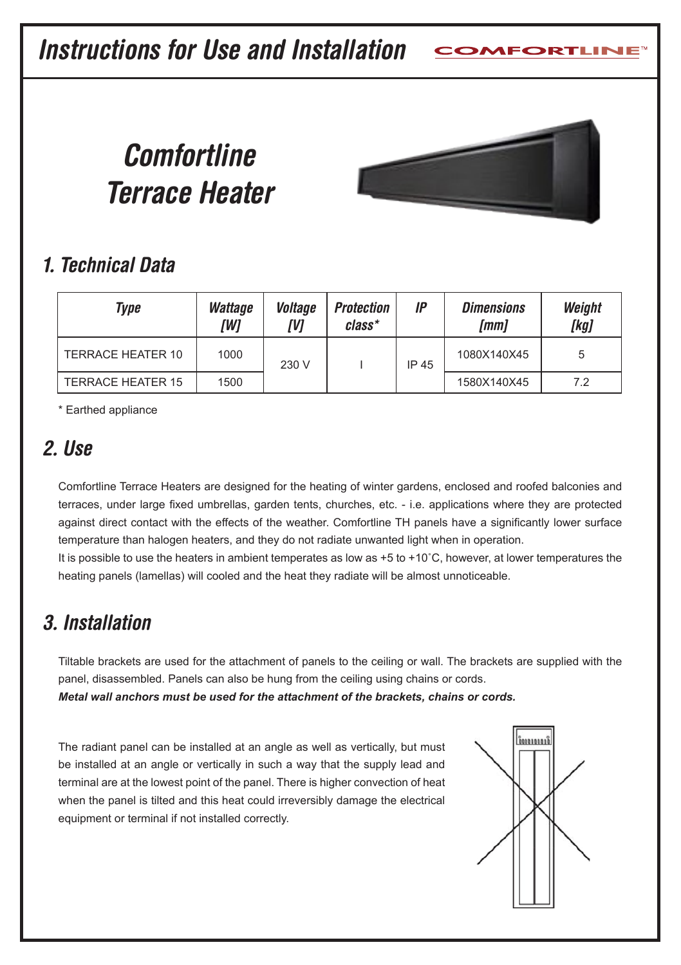**Instructions for Use and Installation**

# **Comfortline Terrace Heater**



# **1. Technical Data**

| Type                     | <b>Wattage</b><br>[W] | Voltage<br>IVI | <b>Protection</b><br>class* | IP    | <b>Dimensions</b><br>[mm] | Weight<br>[kg] |
|--------------------------|-----------------------|----------------|-----------------------------|-------|---------------------------|----------------|
| TERRACE HEATER 10        | 1000                  | 230 V          |                             | IP 45 | 1080X140X45               |                |
| <b>TERRACE HEATER 15</b> | 1500                  |                |                             |       | 1580X140X45               | 7.2            |

\* Earthed appliance

### **2. Use**

Comfortline Terrace Heaters are designed for the heating of winter gardens, enclosed and roofed balconies and terraces, under large fixed umbrellas, garden tents, churches, etc. - i.e. applications where they are protected against direct contact with the effects of the weather. Comfortline TH panels have a significantly lower surface temperature than halogen heaters, and they do not radiate unwanted light when in operation.

It is possible to use the heaters in ambient temperates as low as +5 to +10°C, however, at lower temperatures the heating panels (lamellas) will cooled and the heat they radiate will be almost unnoticeable.

# **3. Installation**

Tiltable brackets are used for the attachment of panels to the ceiling or wall. The brackets are supplied with the panel, disassembled. Panels can also be hung from the ceiling using chains or cords.

*Metal wall anchors must be used for the attachment of the brackets, chains or cords.*

The radiant panel can be installed at an angle as well as vertically, but must be installed at an angle or vertically in such a way that the supply lead and terminal are at the lowest point of the panel. There is higher convection of heat when the panel is tilted and this heat could irreversibly damage the electrical equipment or terminal if not installed correctly.

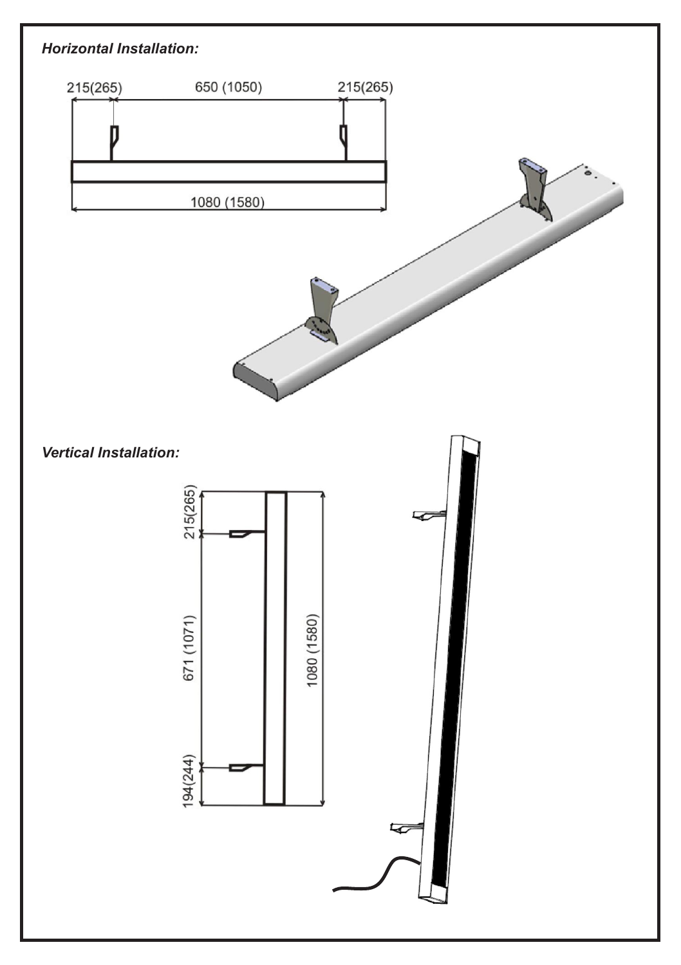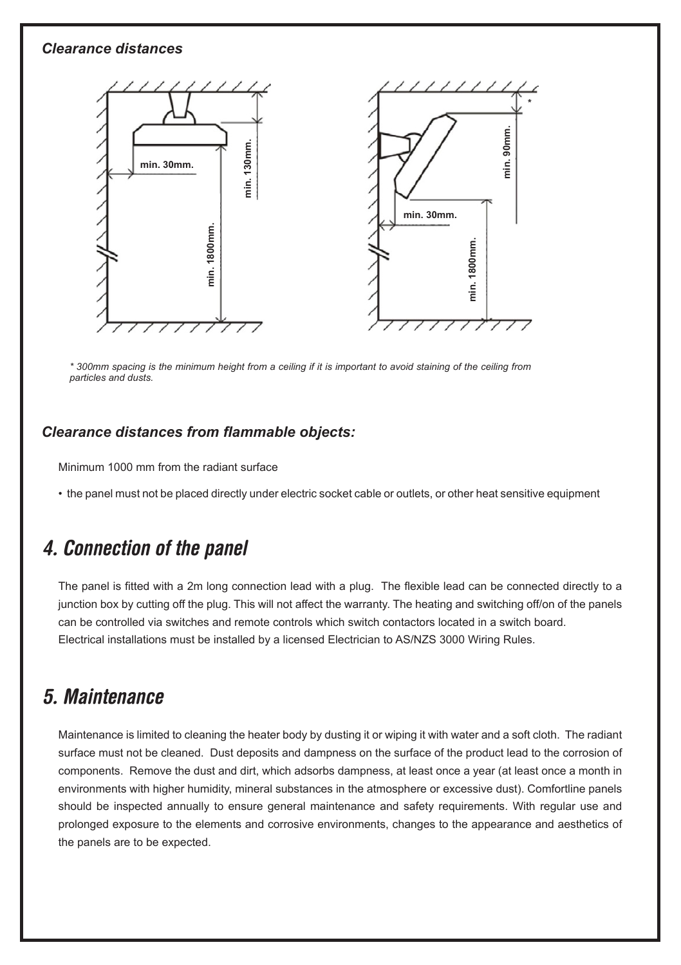#### *Clearance distances*



*\* 300mm spacing is the minimum height from a ceiling if it is important to avoid staining of the ceiling from particles and dusts.*

#### *Clearance distances from flammable objects:*

Minimum 1000 mm from the radiant surface

• the panel must not be placed directly under electric socket cable or outlets, or other heat sensitive equipment

### **4. Connection of the panel**

The panel is fitted with a 2m long connection lead with a plug. The flexible lead can be connected directly to a junction box by cutting off the plug. This will not affect the warranty. The heating and switching off/on of the panels can be controlled via switches and remote controls which switch contactors located in a switch board. Electrical installations must be installed by a licensed Electrician to AS/NZS 3000 Wiring Rules.

#### **5. Maintenance**

Maintenance is limited to cleaning the heater body by dusting it or wiping it with water and a soft cloth. The radiant surface must not be cleaned. Dust deposits and dampness on the surface of the product lead to the corrosion of components. Remove the dust and dirt, which adsorbs dampness, at least once a year (at least once a month in environments with higher humidity, mineral substances in the atmosphere or excessive dust). Comfortline panels should be inspected annually to ensure general maintenance and safety requirements. With regular use and prolonged exposure to the elements and corrosive environments, changes to the appearance and aesthetics of the panels are to be expected.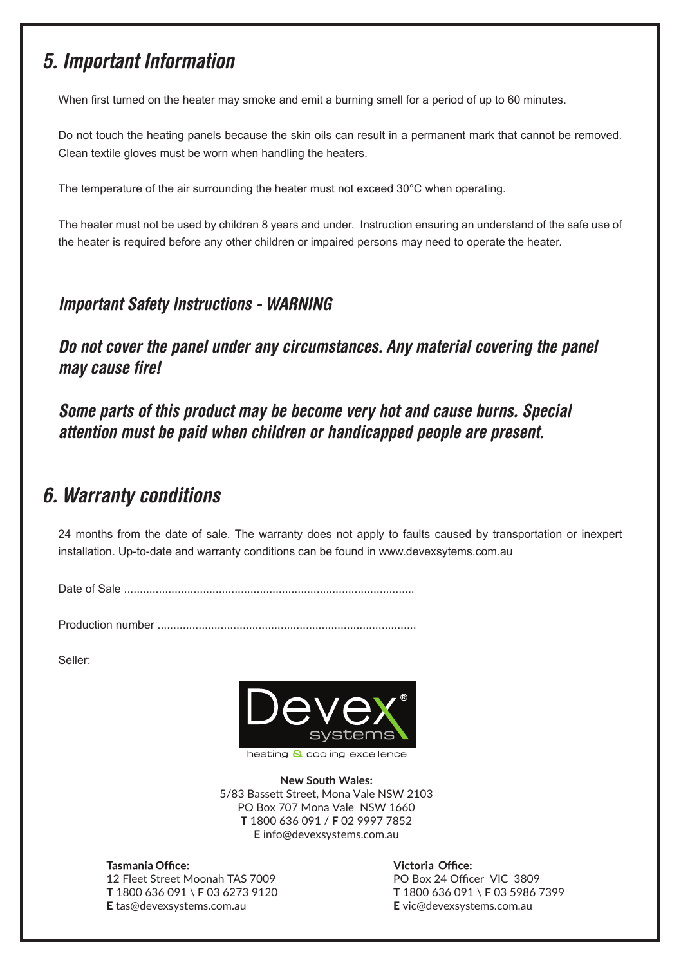### **5. Important Information**

When first turned on the heater may smoke and emit a burning smell for a period of up to 60 minutes.

Do not touch the heating panels because the skin oils can result in a permanent mark that cannot be removed. Clean textile gloves must be worn when handling the heaters.

The temperature of the air surrounding the heater must not exceed 30°C when operating.

The heater must not be used by children 8 years and under. Instruction ensuring an understand of the safe use of the heater is required before any other children or impaired persons may need to operate the heater.

#### **Important Safety Instructions - WARNING**

**Do not cover the panel under any circumstances. Any material covering the panel may cause fire!**

**Some parts of this product may be become very hot and cause burns. Special attention must be paid when children or handicapped people are present.**

### **6. Warranty conditions**

24 months from the date of sale. The warranty does not apply to faults caused by transportation or inexpert installation. Up-to-date and warranty conditions can be found in www.devexsytems.com.au

Date of Sale ............................................................................................

Production number ..................................................................................

Seller:



**New South Wales:** 5/83 Bassett Street, Mona Vale NSW 2103 PO Box 707 Mona Vale NSW 1660 **T** 1800 636 091 / **F** 02 9997 7852 **E** info@devexsystems.com.au

Tasmania Office: 12 Fleet Street Moonah TAS 7009 **T** 1800 636 091 \ **F** 03 6273 9120 **E** tas@devexsystems.com.au

Victoria Office: PO Box 24 Officer VIC 3809 **T** 1800 636 091 \ **F** 03 5986 7399 **E** vic@devexsystems.com.au